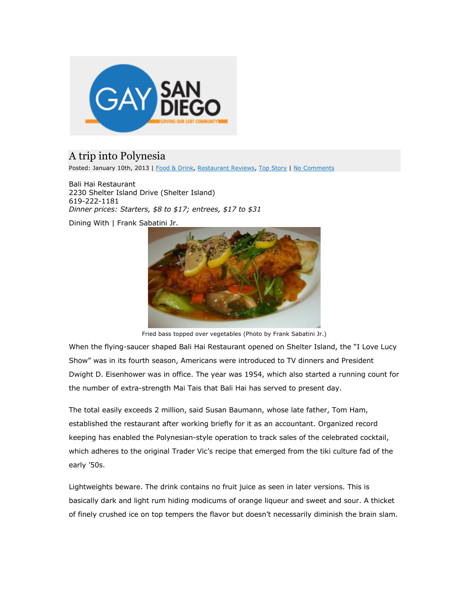

## A trip into Polynesia

Posted: January 10th, 2013 | Food & Drink, Restaurant Reviews, Top Story | No Comments

Bali Hai Restaurant 2230 Shelter Island Drive (Shelter Island) 619-222-1181 *Dinner prices: Starters, \$8 to \$17; entrees, \$17 to \$31*

Dining With | Frank Sabatini Jr.



Fried bass topped over vegetables (Photo by Frank Sabatini Jr.)

When the flying-saucer shaped Bali Hai Restaurant opened on Shelter Island, the "I Love Lucy Show" was in its fourth season, Americans were introduced to TV dinners and President Dwight D. Eisenhower was in office. The year was 1954, which also started a running count for the number of extra-strength Mai Tais that Bali Hai has served to present day.

The total easily exceeds 2 million, said Susan Baumann, whose late father, Tom Ham, established the restaurant after working briefly for it as an accountant. Organized record keeping has enabled the Polynesian-style operation to track sales of the celebrated cocktail, which adheres to the original Trader Vic's recipe that emerged from the tiki culture fad of the early '50s.

Lightweights beware. The drink contains no fruit juice as seen in later versions. This is basically dark and light rum hiding modicums of orange liqueur and sweet and sour. A thicket of finely crushed ice on top tempers the flavor but doesn't necessarily diminish the brain slam.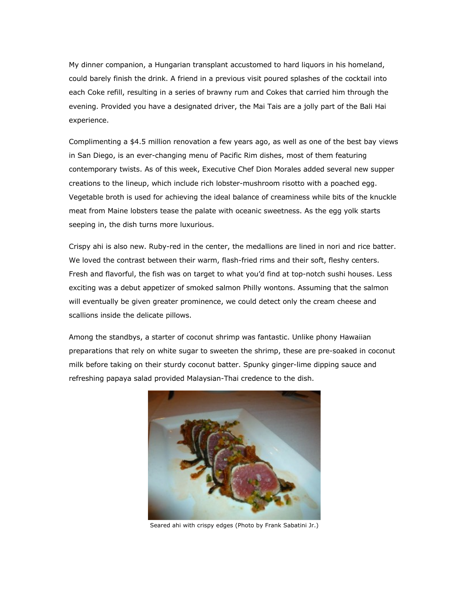My dinner companion, a Hungarian transplant accustomed to hard liquors in his homeland, could barely finish the drink. A friend in a previous visit poured splashes of the cocktail into each Coke refill, resulting in a series of brawny rum and Cokes that carried him through the evening. Provided you have a designated driver, the Mai Tais are a jolly part of the Bali Hai experience.

Complimenting a \$4.5 million renovation a few years ago, as well as one of the best bay views in San Diego, is an ever-changing menu of Pacific Rim dishes, most of them featuring contemporary twists. As of this week, Executive Chef Dion Morales added several new supper creations to the lineup, which include rich lobster-mushroom risotto with a poached egg. Vegetable broth is used for achieving the ideal balance of creaminess while bits of the knuckle meat from Maine lobsters tease the palate with oceanic sweetness. As the egg yolk starts seeping in, the dish turns more luxurious.

Crispy ahi is also new. Ruby-red in the center, the medallions are lined in nori and rice batter. We loved the contrast between their warm, flash-fried rims and their soft, fleshy centers. Fresh and flavorful, the fish was on target to what you'd find at top-notch sushi houses. Less exciting was a debut appetizer of smoked salmon Philly wontons. Assuming that the salmon will eventually be given greater prominence, we could detect only the cream cheese and scallions inside the delicate pillows.

Among the standbys, a starter of coconut shrimp was fantastic. Unlike phony Hawaiian preparations that rely on white sugar to sweeten the shrimp, these are pre-soaked in coconut milk before taking on their sturdy coconut batter. Spunky ginger-lime dipping sauce and refreshing papaya salad provided Malaysian-Thai credence to the dish.



Seared ahi with crispy edges (Photo by Frank Sabatini Jr.)